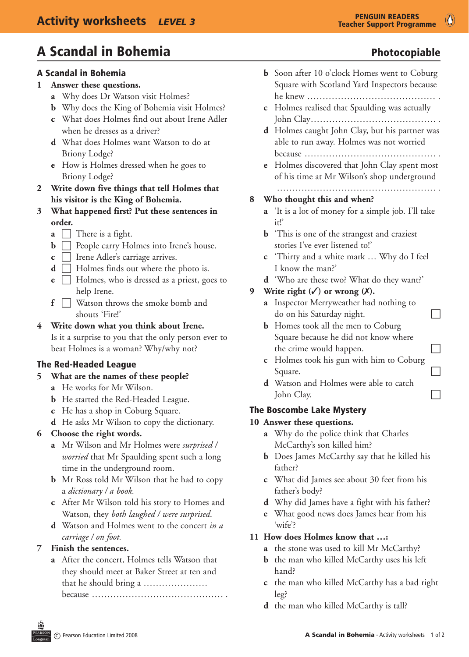$\bullet$ 

# A Scandal in Bohemia **Photocopiable** Photocopiable

#### A Scandal in Bohemia

#### **1 Answer these questions.**

- **a** Why does Dr Watson visit Holmes?
- **b** Why does the King of Bohemia visit Holmes?
- **c** What does Holmes find out about Irene Adler when he dresses as a driver?
- **d** What does Holmes want Watson to do at Briony Lodge?
- **e** How is Holmes dressed when he goes to Briony Lodge?
- **2 Write down five things that tell Holmes that his visitor is the King of Bohemia.**
- **3 What happened first? Put these sentences in order.**
	- **a**  $\Box$  There is a fight.
	- $\mathbf{b}$   $\Box$  People carry Holmes into Irene's house.
	- **c**  $\Box$  Irene Adler's carriage arrives.
	- **d**  $\Box$  Holmes finds out where the photo is.
	- **e Figure** Holmes, who is dressed as a priest, goes to help Irene.
	- $\bf{f}$   $\Box$  Watson throws the smoke bomb and shouts 'Fire!'

#### **4 Write down what you think about Irene.**

 Is it a surprise to you that the only person ever to beat Holmes is a woman? Why/why not?

## The Red-Headed League

#### **5 What are the names of these people?**

- **a** He works for Mr Wilson.
- **b** He started the Red-Headed League.
- **c** He has a shop in Coburg Square.
- **d** He asks Mr Wilson to copy the dictionary.

## **6 Choose the right words.**

- **a** Mr Wilson and Mr Holmes were *surprised / worried* that Mr Spaulding spent such a long time in the underground room.
- **b** Mr Ross told Mr Wilson that he had to copy a *dictionary / a book.*
- **c** After Mr Wilson told his story to Homes and Watson, they *both laughed / were surprised*.
- **d** Watson and Holmes went to the concert *in a carriage / on foot.*

## **7 Finish the sentences.**

**a** After the concert, Holmes tells Watson that they should meet at Baker Street at ten and that he should bring a ………………… because ……………………………………

- 
- **b** Soon after 10 o'clock Homes went to Coburg Square with Scotland Yard Inspectors because he knew …………………………………… . **c** Holmes realised that Spaulding was actually John Clay ………………………………….. . **d** Holmes caught John Clay, but his partner was able to run away. Holmes was not worried because ………………………………………… **e** Holmes discovered that John Clay spent most of his time at Mr Wilson's shop underground ……………………………………………. . **8 Who thought this and when? a** 'It is a lot of money for a simple job. I'll take it!' **b** This is one of the strangest and craziest stories I've ever listened to!' **c** 'Thirty and a white mark … Why do I feel I know the man?' **d** 'Who are these two? What do they want?' **9** Write right  $(\checkmark)$  or wrong  $(\checkmark)$ . **a** Inspector Merryweather had nothing to  $\Box$  do on his Saturday night. **b** Homes took all the men to Coburg Square because he did not know where the crime would happen.  $\Box$ **c** Holmes took his gun with him to Coburg Square.  $\Box$ **d** Watson and Holmes were able to catch John Clay.

#### The Boscombe Lake Mystery

#### **10 Answer these questions.**

- **a** Why do the police think that Charles McCarthy's son killed him?
- **b** Does James McCarthy say that he killed his father?
- **c** What did James see about 30 feet from his father's body?
- **d** Why did James have a fight with his father?
- **e** What good news does James hear from his 'wife'?

## **11 How does Holmes know that …:**

- **a** the stone was used to kill Mr McCarthy?
- **b** the man who killed McCarthy uses his left hand?
- **c** the man who killed McCarthy has a bad right leg?
- **d** the man who killed McCarthy is tall?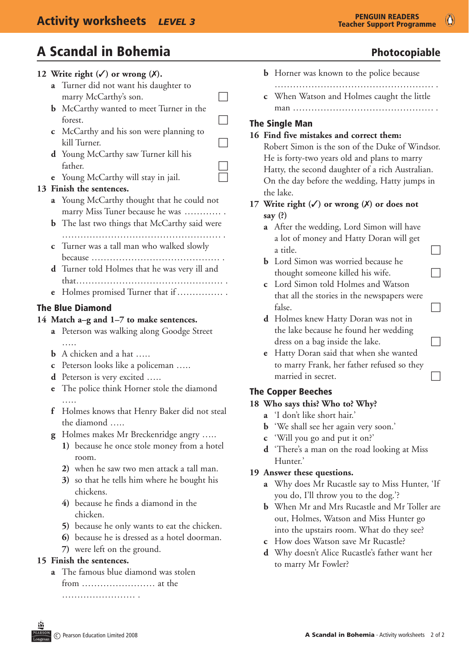$\circledcirc$ 

# A Scandal in Bohemia **Photocopiable** Photocopiable

## **12** Write right  $(\checkmark)$  or wrong  $(\checkmark)$ . **a** Turner did not want his daughter to marry McCarthy's son.  $\Box$ **b** McCarthy wanted to meet Turner in the forest. **c** McCarthy and his son were planning to kill Turner. **d** Young McCarthy saw Turner kill his father. **e** Young McCarthy will stay in jail. **13 Finish the sentences. a** Young McCarthy thought that he could not marry Miss Tuner because he was ………… . **b** The last two things that McCarthy said were ……………………………………………. . **c** Turner was a tall man who walked slowly because …………………………………… . **d** Turner told Holmes that he was very ill and that ………………………………………… . **e** Holmes promised Turner that if …………… The Blue Diamond **14 Match a–g and 1–7 to make sentences. a** Peterson was walking along Goodge Street ….. **b** A chicken and a hat ….. **c** Peterson looks like a policeman ..... **d** Peterson is very excited …..

- **e** The police think Horner stole the diamond …..
- **f** Holmes knows that Henry Baker did not steal the diamond …..
- **g** Holmes makes Mr Breckenridge angry .....
	- **1)** because he once stole money from a hotel room.
	- **2)** when he saw two men attack a tall man.
	- **3)** so that he tells him where he bought his chickens.
	- **4)** because he finds a diamond in the chicken.
	- **5)** because he only wants to eat the chicken.
	- **6)** because he is dressed as a hotel doorman.
	- **7)** were left on the ground.

#### **15 Finish the sentences.**

**a** The famous blue diamond was stolen from …………………… at the …………………… .

- **b** Horner was known to the police because ……………………………………………. .
- **c** When Watson and Holmes caught the little man ……………………………………………………

## The Single Man

## **16 Find five mistakes and correct them:** Robert Simon is the son of the Duke of Windsor. He is forty-two years old and plans to marry Hatty, the second daughter of a rich Australian. On the day before the wedding, Hatty jumps in the lake. **17 Write right (**3**) or wrong (**7**) or does not say (?) a** After the wedding, Lord Simon will have a lot of money and Hatty Doran will get a title. **b** Lord Simon was worried because he thought someone killed his wife. **c** Lord Simon told Holmes and Watson that all the stories in the newspapers were  $false.$ **d** Holmes knew Hatty Doran was not in the lake because he found her wedding dress on a bag inside the lake. **e** Hatty Doran said that when she wanted to marry Frank, her father refused so they married in secret.

## The Copper Beeches

#### **18 Who says this? Who to? Why?**

- **a** 'I don't like short hair.'
- **b** 'We shall see her again very soon.'
- **c** 'Will you go and put it on?'
- **d** 'There's a man on the road looking at Miss Hunter.'

#### **19 Answer these questions.**

- **a** Why does Mr Rucastle say to Miss Hunter, 'If you do, I'll throw you to the dog.'?
- **b** When Mr and Mrs Rucastle and Mr Toller are out, Holmes, Watson and Miss Hunter go into the upstairs room. What do they see?
- **c** How does Watson save Mr Rucastle?
- **d** Why doesn't Alice Rucastle's father want her to marry Mr Fowler?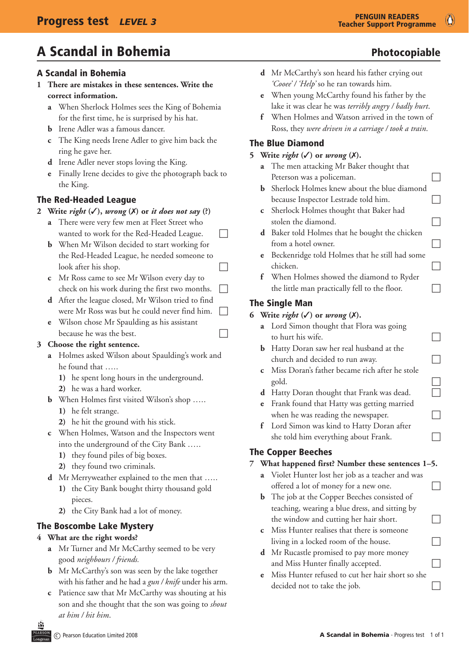# A Scandal in Bohemia **Photocopiable** Photocopiable

## A Scandal in Bohemia

- **1 There are mistakes in these sentences. Write the correct information.**
	- **a** When Sherlock Holmes sees the King of Bohemia for the first time, he is surprised by his hat.
	- **b** Irene Adler was a famous dancer.
	- **c** The King needs Irene Adler to give him back the ring he gave her.
	- **d** Irene Adler never stops loving the King.
	- **e** Finally Irene decides to give the photograph back to the King.

## The Red-Headed League

- **2** Write *right*  $(\checkmark)$ , *wrong*  $(\checkmark)$  or *it does not say*  $(\check{\cdot})$ 
	- **a** There were very few men at Fleet Street who wanted to work for the Red-Headed League.  $\Box$
	- **b** When Mr Wilson decided to start working for the Red-Headed League, he needed someone to  $\log x$  after his shop.
	- **c** Mr Ross came to see Mr Wilson every day to check on his work during the first two months.  $\Box$
	- **d** After the league closed, Mr Wilson tried to find were Mr Ross was but he could never find him.
	- **e** Wilson chose Mr Spaulding as his assistant because he was the best.

## **3 Choose the right sentence.**

- **a** Holmes asked Wilson about Spaulding's work and he found that …..
	- **1)** he spent long hours in the underground.
	- **2)** he was a hard worker.
- **b** When Holmes first visited Wilson's shop …..
	- **1)** he felt strange.
	- **2)** he hit the ground with his stick.
- **c** When Holmes, Watson and the Inspectors went into the underground of the City Bank …..
	- **1)** they found piles of big boxes.
	- **2)** they found two criminals.
- **d** Mr Merryweather explained to the men that …..
	- **1)** the City Bank bought thirty thousand gold pieces.
	- **2)** the City Bank had a lot of money.

## The Boscombe Lake Mystery

## **4 What are the right words?**

- **a** Mr Turner and Mr McCarthy seemed to be very good *neighbours / friends.*
- **b** Mr McCarthy's son was seen by the lake together with his father and he had a *gun / knife* under his arm.
- **c** Patience saw that Mr McCarthy was shouting at his son and she thought that the son was going to *shout at him / hit him*.
- **e** When young McCarthy found his father by the lake it was clear he was *terribly angry / badly hurt*.
- **f** When Holmes and Watson arrived in the town of Ross, they *were driven in a carriage / took a train*.

## The Blue Diamond

## **5** Write *right*  $({\checkmark})$  or *wrong*  $({\checkmark})$ .

- **a** The men attacking Mr Baker thought that Peterson was a policeman.  $\Box$
- **b** Sherlock Holmes knew about the blue diamond  $because In spectro( 1)$  Lestrade told him.
- **c** Sherlock Holmes thought that Baker had stolen the diamond.  $\Box$
- **d** Baker told Holmes that he bought the chicken from a hotel owner.  $\Box$
- **e** Beckenridge told Holmes that he still had some chicken.
- **f** When Holmes showed the diamond to Ryder the little man practically fell to the floor.  $\Box$

## The Single Man

### **6** Write *right*  $({\checkmark})$  or *wrong*  $({\checkmark})$ .

- **a** Lord Simon thought that Flora was going to hurt his wife.  $\Box$
- **b** Hatty Doran saw her real husband at the  $\Box$  church and decided to run away.
- **c** Miss Doran's father became rich after he stole  $\Box$  gold.  $\Box$
- **d** Hatty Doran thought that Frank was dead.
- **e** Frank found that Hatty was getting married when he was reading the newspaper.  $\Box$
- **f** Lord Simon was kind to Hatty Doran after she told him everything about Frank.  $\Box$

## The Copper Beeches

## **7 What happened first? Number these sentences 1–5.**

- **a** Violet Hunter lost her job as a teacher and was offered a lot of money for a new one.  $\Box$
- **b** The job at the Copper Beeches consisted of teaching, wearing a blue dress, and sitting by the window and cutting her hair short.  $\Box$
- **c** Miss Hunter realises that there is someone living in a locked room of the house.  $\Box$
- **d** Mr Rucastle promised to pay more money and Miss Hunter finally accepted.  $\Box$
- **e** Miss Hunter refused to cut her hair short so she  $\Box$  decided not to take the job.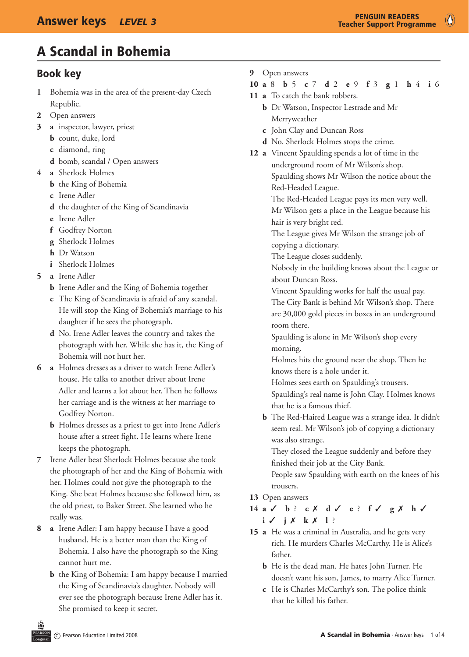# A Scandal in Bohemia

## Book key

- **1** Bohemia was in the area of the present-day Czech Republic.
- **2** Open answers
- **3 a** inspector, lawyer, priest
	- **b** count, duke, lord
	- **c** diamond, ring
	- **d** bomb, scandal / Open answers
- **4 a** Sherlock Holmes
	- **b** the King of Bohemia
	- **c** Irene Adler
	- **d** the daughter of the King of Scandinavia
	- **e** Irene Adler
	- **f** Godfrey Norton
	- **g** Sherlock Holmes
	- **h** Dr Watson
	- **i** Sherlock Holmes
- **5 a** Irene Adler
	- **b** Irene Adler and the King of Bohemia together
	- **c** The King of Scandinavia is afraid of any scandal. He will stop the King of Bohemia's marriage to his daughter if he sees the photograph.
	- **d** No. Irene Adler leaves the country and takes the photograph with her. While she has it, the King of Bohemia will not hurt her.
- **6 a** Holmes dresses as a driver to watch Irene Adler's house. He talks to another driver about Irene Adler and learns a lot about her. Then he follows her carriage and is the witness at her marriage to Godfrey Norton.
	- **b** Holmes dresses as a priest to get into Irene Adler's house after a street fight. He learns where Irene keeps the photograph.
- **7** Irene Adler beat Sherlock Holmes because she took the photograph of her and the King of Bohemia with her. Holmes could not give the photograph to the King. She beat Holmes because she followed him, as the old priest, to Baker Street. She learned who he really was.
- **8 a** Irene Adler: I am happy because I have a good husband. He is a better man than the King of Bohemia. I also have the photograph so the King cannot hurt me.
	- **b** the King of Bohemia: I am happy because I married the King of Scandinavia's daughter. Nobody will ever see the photograph because Irene Adler has it. She promised to keep it secret.

**9** Open answers

#### **10 a** 8 **b** 5 **c** 7 **d** 2 **e** 9 **f** 3 **g** 1 **h** 4 **i** 6

- **11 a** To catch the bank robbers.
	- **b** Dr Watson, Inspector Lestrade and Mr Merryweather
	- **c** John Clay and Duncan Ross
	- **d** No. Sherlock Holmes stops the crime.
- **12 a** Vincent Spaulding spends a lot of time in the underground room of Mr Wilson's shop. Spaulding shows Mr Wilson the notice about the Red-Headed League.

 The Red-Headed League pays its men very well. Mr Wilson gets a place in the League because his hair is very bright red.

 The League gives Mr Wilson the strange job of copying a dictionary.

 The League closes suddenly.

 Nobody in the building knows about the League or about Duncan Ross.

 Vincent Spaulding works for half the usual pay. The City Bank is behind Mr Wilson's shop. There are 30,000 gold pieces in boxes in an underground room there.

 Spaulding is alone in Mr Wilson's shop every morning.

 Holmes hits the ground near the shop. Then he knows there is a hole under it.

 Holmes sees earth on Spaulding's trousers.

 Spaulding's real name is John Clay. Holmes knows that he is a famous thief.

**b** The Red-Haired League was a strange idea. It didn't seem real. Mr Wilson's job of copying a dictionary was also strange.

 They closed the League suddenly and before they finished their job at the City Bank.

 People saw Spaulding with earth on the knees of his trousers.

13 Open answers

**14 a** 3 **b** ? **c** 7 **d** 3 **e** ? **f** 3 **g** 7 **h** 3 **i**  $\checkmark$  **j**  $\checkmark$  **k**  $\checkmark$  **1**?

- **15 a** He was a criminal in Australia, and he gets very rich. He murders Charles McCarthy. He is Alice's father.
	- **b** He is the dead man. He hates John Turner. He doesn't want his son, James, to marry Alice Turner.
	- **c** He is Charles McCarthy's son. The police think that he killed his father.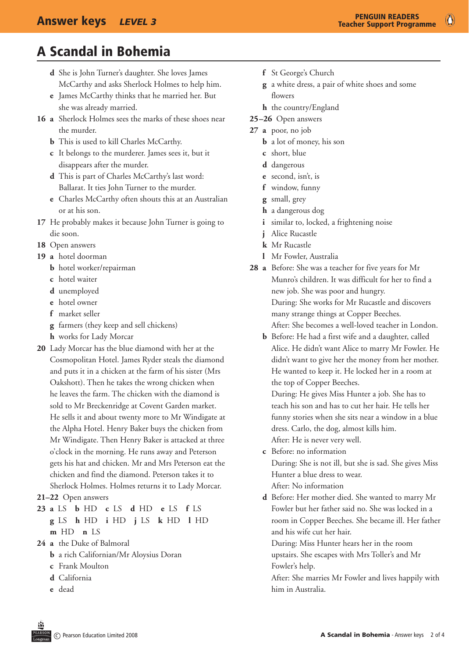$\bullet$ 

# A Scandal in Bohemia

- **d** She is John Turner's daughter. She loves James McCarthy and asks Sherlock Holmes to help him.
- **e** James McCarthy thinks that he married her. But she was already married.
- **16 a** Sherlock Holmes sees the marks of these shoes near the murder.
	- **b** This is used to kill Charles McCarthy.
	- **c** It belongs to the murderer. James sees it, but it disappears after the murder.
	- **d** This is part of Charles McCarthy's last word: Ballarat. It ties John Turner to the murder.
	- **e** Charles McCarthy often shouts this at an Australian or at his son.
- **17** He probably makes it because John Turner is going to die soon.
- 18 Open answers
- **19 a** hotel doorman
	- **b** hotel worker/repairman
	- **c** hotel waiter
	- **d** unemployed
	- **e** hotel owner
	- **f** market seller
	- **g** farmers (they keep and sell chickens)
	- **h** works for Lady Morcar
- **20** Lady Morcar has the blue diamond with her at the Cosmopolitan Hotel. James Ryder steals the diamond and puts it in a chicken at the farm of his sister (Mrs Oakshott). Then he takes the wrong chicken when he leaves the farm. The chicken with the diamond is sold to Mr Breckenridge at Covent Garden market. He sells it and about twenty more to Mr Windigate at the Alpha Hotel. Henry Baker buys the chicken from Mr Windigate. Then Henry Baker is attacked at three o'clock in the morning. He runs away and Peterson gets his hat and chicken. Mr and Mrs Peterson eat the chicken and find the diamond. Peterson takes it to Sherlock Holmes. Holmes returns it to Lady Morcar.
- **21–22** Open answers
- **23 a** LS **b** HD **c** LS **d** HD **e** LS **f** LS **g** LS **h** HD **i** HD **j** LS **k** HD **l** HD **m** HD **n** LS
- 24 **a** the Duke of Balmoral
	- **b** a rich Californian/Mr Aloysius Doran
	- **c** Frank Moulton
	- **d** California
	- **e** dead
- **f** St George's Church
- **g** a white dress, a pair of white shoes and some flowers
- **h** the country/England
- **25–26** Open answers
- **27 a** poor, no job
	- **b** a lot of money, his son
	- **c** short, blue
	- **d** dangerous
	- **e** second, isn't, is
	- **f** window, funny
	- **g** small, grey
	- **h** a dangerous dog
	- **i** similar to, locked, a frightening noise
	- **j** Alice Rucastle
	- **k** Mr Rucastle
	- **l** Mr Fowler, Australia
- **28 a** Before: She was a teacher for five years for Mr Munro's children. It was difficult for her to find a new job. She was poor and hungry. During: She works for Mr Rucastle and discovers many strange things at Copper Beeches. After: She becomes a well-loved teacher in London.
	- **b** Before: He had a first wife and a daughter, called Alice. He didn't want Alice to marry Mr Fowler. He didn't want to give her the money from her mother. He wanted to keep it. He locked her in a room at the top of Copper Beeches.

 During: He gives Miss Hunter a job. She has to teach his son and has to cut her hair. He tells her funny stories when she sits near a window in a blue dress. Carlo, the dog, almost kills him. After: He is never very well.

**c** Before: no information During: She is not ill, but she is sad. She gives Miss Hunter a blue dress to wear.

 After: No information

**d** Before: Her mother died. She wanted to marry Mr Fowler but her father said no. She was locked in a room in Copper Beeches. She became ill. Her father and his wife cut her hair.

 During: Miss Hunter hears her in the room upstairs. She escapes with Mrs Toller's and Mr Fowler's help.

 After: She marries Mr Fowler and lives happily with him in Australia.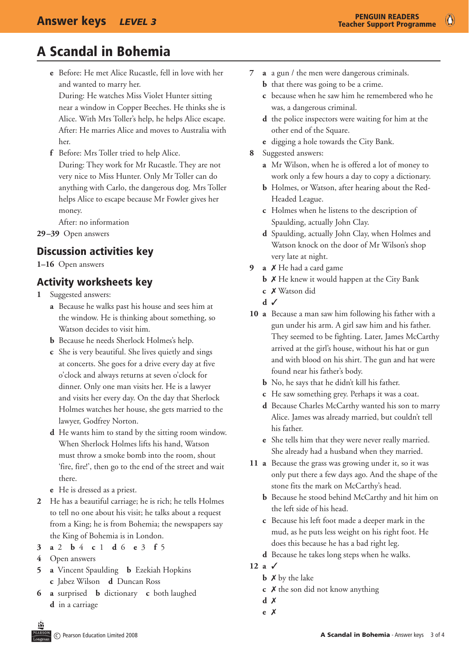$\bullet$ 

# A Scandal in Bohemia

**e** Before: He met Alice Rucastle, fell in love with her and wanted to marry her.

 During: He watches Miss Violet Hunter sitting near a window in Copper Beeches. He thinks she is Alice. With Mrs Toller's help, he helps Alice escape. After: He marries Alice and moves to Australia with her.

**f** Before: Mrs Toller tried to help Alice. During: They work for Mr Rucastle. They are not very nice to Miss Hunter. Only Mr Toller can do anything with Carlo, the dangerous dog. Mrs Toller helps Alice to escape because Mr Fowler gives her money.

 After: no information

**29–39** Open answers

## Discussion activities key

**1–16**  Open answers

## Activity worksheets key

- **1** Suggested answers:
	- **a** Because he walks past his house and sees him at the window. He is thinking about something, so Watson decides to visit him.
	- **b** Because he needs Sherlock Holmes's help.
	- **c** She is very beautiful. She lives quietly and sings at concerts. She goes for a drive every day at five o'clock and always returns at seven o'clock for dinner. Only one man visits her. He is a lawyer and visits her every day. On the day that Sherlock Holmes watches her house, she gets married to the lawyer, Godfrey Norton.
	- **d** He wants him to stand by the sitting room window. When Sherlock Holmes lifts his hand, Watson must throw a smoke bomb into the room, shout 'fire, fire!', then go to the end of the street and wait there.
	- **e** He is dressed as a priest.
- **2** He has a beautiful carriage; he is rich; he tells Holmes to tell no one about his visit; he talks about a request from a King; he is from Bohemia; the newspapers say the King of Bohemia is in London.
- **3 a** 2 **b** 4 **c** 1 **d** 6 **e** 3 **f** 5
- **4** Open answers
- **5 a** Vincent Spaulding **b** Ezekiah Hopkins **c** Jabez Wilson **d** Duncan Ross
- **6 a** surprised **b** dictionary **c** both laughed **d** in a carriage
- **7 a** a gun / the men were dangerous criminals.
	- **b** that there was going to be a crime.
	- **c** because when he saw him he remembered who he was, a dangerous criminal.
	- **d** the police inspectors were waiting for him at the other end of the Square.
	- **e** digging a hole towards the City Bank.
- **8** Suggested answers:
	- **a** Mr Wilson, when he is offered a lot of money to work only a few hours a day to copy a dictionary.
	- **b** Holmes, or Watson, after hearing about the Red-Headed League.
	- **c** Holmes when he listens to the description of Spaulding, actually John Clay.
	- **d** Spaulding, actually John Clay, when Holmes and Watson knock on the door of Mr Wilson's shop very late at night.
- **9 a** 7 He had a card game
	- **b**  $\boldsymbol{\times}$  He knew it would happen at the City Bank
	- **c** *X* Watson did
	- $\overline{d}$
- **10 a** Because a man saw him following his father with a gun under his arm. A girl saw him and his father. They seemed to be fighting. Later, James McCarthy arrived at the girl's house, without his hat or gun and with blood on his shirt. The gun and hat were found near his father's body.
	- **b** No, he says that he didn't kill his father.
	- **c** He saw something grey. Perhaps it was a coat.
	- d Because Charles McCarthy wanted his son to marry Alice. James was already married, but couldn't tell his father.
	- **e** She tells him that they were never really married. She already had a husband when they married.
- **11 a** Because the grass was growing under it, so it was only put there a few days ago. And the shape of the stone fits the mark on McCarthy's head.
	- **b** Because he stood behind McCarthy and hit him on the left side of his head.
	- **c** Because his left foot made a deeper mark in the mud, as he puts less weight on his right foot. He does this because he has a bad right leg.
	- **d** Because he takes long steps when he walks.
- 12 **a**  $\checkmark$ 
	- $\times$  **by the lake**
	- **c** *X* the son did not know anything
	- **d**  $\times$
	- **e** 7